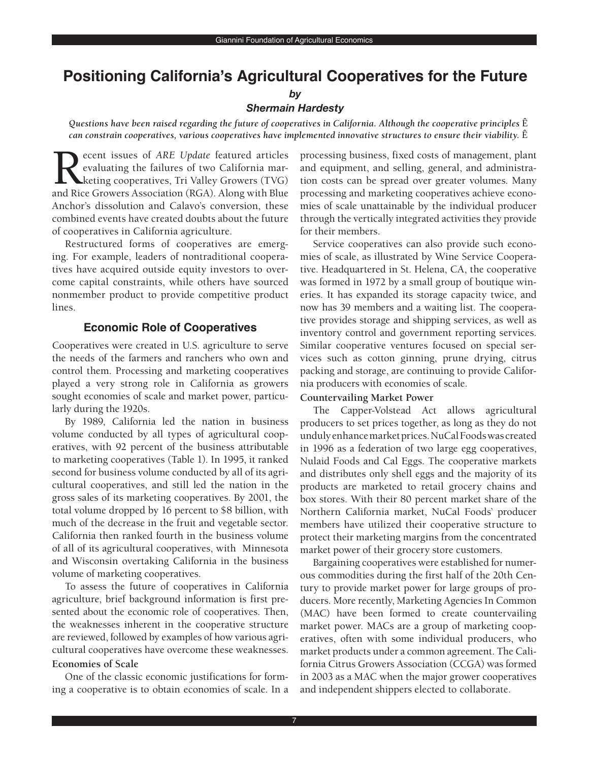# **Positioning California's Agricultural Cooperatives for the Future**

#### *by*

#### *Shermain Hardesty*

*Questions have been raised regarding the future of cooperatives in California. Although the cooperative principles* Ê *can constrain cooperatives, various cooperatives have implemented innovative structures to ensure their viability.* Ê

Recent issues of *ARE Update* featured articles<br>evaluating the failures of two California mar-<br>keting cooperatives, Tri Valley Growers (TVG)<br>and Rice Growers Association (RGA) Along with Blue evaluating the failures of two California marketing cooperatives, Tri Valley Growers (TVG) and Rice Growers Association (RGA). Along with Blue Anchor's dissolution and Calavo's conversion, these combined events have created doubts about the future of cooperatives in California agriculture.

Restructured forms of cooperatives are emerging. For example, leaders of nontraditional cooperatives have acquired outside equity investors to overcome capital constraints, while others have sourced nonmember product to provide competitive product lines.

## **Economic Role of Cooperatives**

 Cooperatives were created in U.S. agriculture to serve the needs of the farmers and ranchers who own and control them. Processing and marketing cooperatives played a very strong role in California as growers sought economies of scale and market power, particu-larly during the 1920s.

 By 1989, California led the nation in business volume conducted by all types of agricultural coop- eratives, with 92 percent of the business attributable to marketing cooperatives (Table 1). In 1995, it ranked second for business volume conducted by all of its agri- cultural cooperatives, and still led the nation in the gross sales of its marketing cooperatives. By 2001, the total volume dropped by 16 percent to \$8 billion, with much of the decrease in the fruit and vegetable sector. California then ranked fourth in the business volume of all of its agricultural cooperatives, with Minnesota and Wisconsin overtaking California in the business volume of marketing cooperatives.

 To assess the future of cooperatives in California agriculture, brief background information is first pre- sented about the economic role of cooperatives. Then, the weaknesses inherent in the cooperative structure are reviewed, followed by examples of how various agri-cultural cooperatives have overcome these weaknesses.

#### **Economies of Scale**

 One of the classic economic justifications for form-ing a cooperative is to obtain economies of scale. In a  processing business, fixed costs of management, plant and equipment, and selling, general, and administra- tion costs can be spread over greater volumes. Many processing and marketing cooperatives achieve econo- mies of scale unattainable by the individual producer through the vertically integrated activities they provide for their members.

 Service cooperatives can also provide such econo- mies of scale, as illustrated by Wine Service Coopera- tive. Headquartered in St. Helena, CA, the cooperative was formed in 1972 by a small group of boutique win- eries. It has expanded its storage capacity twice, and now has 39 members and a waiting list. The coopera- tive provides storage and shipping services, as well as inventory control and government reporting services. Similar cooperative ventures focused on special ser- vices such as cotton ginning, prune drying, citrus packing and storage, are continuing to provide Califor-nia producers with economies of scale.

#### **Countervailing Market Power**

 The Capper-Volstead Act allows agricultural producers to set prices together, as long as they do not undulyenhancemarketprices.NuCalFoodswascreated in 1996 as a federation of two large egg cooperatives, Nulaid Foods and Cal Eggs. The cooperative markets and distributes only shell eggs and the majority of its products are marketed to retail grocery chains and box stores. With their 80 percent market share of the Northern California market, NuCal Foods' producer members have utilized their cooperative structure to protect their marketing margins from the concentrated market power of their grocery store customers.

 Bargaining cooperatives were established for numer- ous commodities during the first half of the 20th Cen- tury to provide market power for large groups of pro- ducers. More recently, Marketing Agencies In Common (MAC) have been formed to create countervailing market power. MACs are a group of marketing coop- eratives, often with some individual producers, who market products under a common agreement. The Cali- fornia Citrus Growers Association (CCGA) was formed in 2003 as a MAC when the major grower cooperatives and independent shippers elected to collaborate.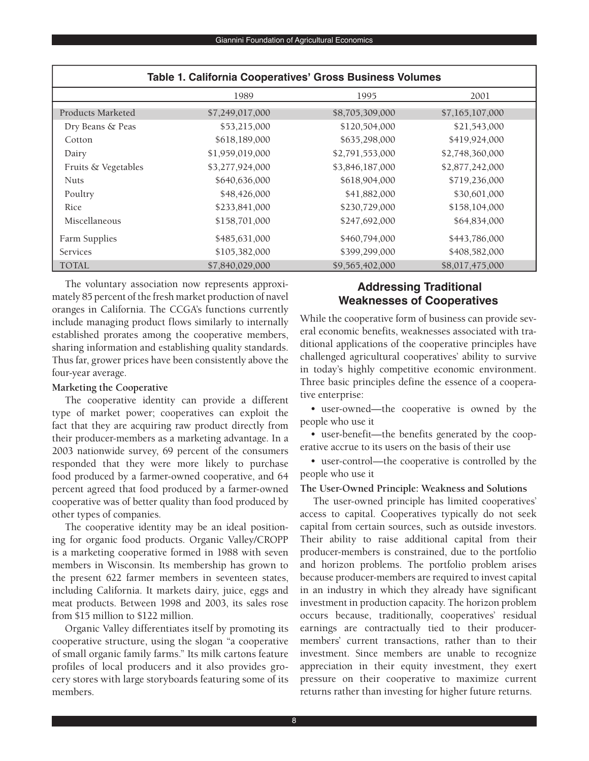| Table T. California Cooperatives' Gross Business volumes |                 |                 |                 |
|----------------------------------------------------------|-----------------|-----------------|-----------------|
|                                                          | 1989            | 1995            | 2001            |
| Products Marketed                                        | \$7,249,017,000 | \$8,705,309,000 | \$7,165,107,000 |
| Dry Beans & Peas                                         | \$53,215,000    | \$120,504,000   | \$21,543,000    |
| Cotton                                                   | \$618,189,000   | \$635,298,000   | \$419,924,000   |
| Dairy                                                    | \$1,959,019,000 | \$2,791,553,000 | \$2,748,360,000 |
| Fruits & Vegetables                                      | \$3,277,924,000 | \$3,846,187,000 | \$2,877,242,000 |
| <b>Nuts</b>                                              | \$640,636,000   | \$618,904,000   | \$719,236,000   |
| Poultry                                                  | \$48,426,000    | \$41,882,000    | \$30,601,000    |
| Rice                                                     | \$233,841,000   | \$230,729,000   | \$158,104,000   |
| Miscellaneous                                            | \$158,701,000   | \$247,692,000   | \$64,834,000    |
| Farm Supplies                                            | \$485,631,000   | \$460,794,000   | \$443,786,000   |
| <b>Services</b>                                          | \$105,382,000   | \$399,299,000   | \$408,582,000   |
| <b>TOTAL</b>                                             | \$7,840,029,000 | \$9,565,402,000 | \$8,017,475,000 |

# **Table 1. California Cooperatives' Gross Business Volumes**

 The voluntary association now represents approxi- mately 85 percent of the fresh market production of navel oranges in California. The CCGA's functions currently include managing product flows similarly to internally established prorates among the cooperative members, sharing information and establishing quality standards. Thus far, grower prices have been consistently above the four-year average.

#### **Marketing the Cooperative**

 The cooperative identity can provide a different type of market power; cooperatives can exploit the fact that they are acquiring raw product directly from their producer-members as a marketing advantage. In a 2003 nationwide survey, 69 percent of the consumers responded that they were more likely to purchase food produced by a farmer-owned cooperative, and 64 percent agreed that food produced by a farmer-owned cooperative was of better quality than food produced by other types of companies.

 The cooperative identity may be an ideal position- ing for organic food products. Organic Valley/CROPP is a marketing cooperative formed in 1988 with seven members in Wisconsin. Its membership has grown to the present 622 farmer members in seventeen states, including California. It markets dairy, juice, eggs and meat products. Between 1998 and 2003, its sales rose from \$15 million to \$122 million.

 Organic Valley differentiates itself by promoting its cooperative structure, using the slogan "a cooperative of small organic family farms." Its milk cartons feature profiles of local producers and it also provides gro- cery stores with large storyboards featuring some of its members.

# **Addressing Traditional Weaknesses of Cooperatives**

 While the cooperative form of business can provide sev- eral economic benefits, weaknesses associated with tra- ditional applications of the cooperative principles have challenged agricultural cooperatives' ability to survive in today's highly competitive economic environment. Three basic principles define the essence of a cooperative enterprise:

 • user-owned—the cooperative is owned by the people who use it

 • user-benefit—the benefits generated by the coop-erative accrue to its users on the basis of their use

 • user-control—the cooperative is controlled by the people who use it

### **The User-Owned Principle: Weakness and Solutions**

 The user-owned principle has limited cooperatives' access to capital. Cooperatives typically do not seek capital from certain sources, such as outside investors. Their ability to raise additional capital from their producer-members is constrained, due to the portfolio and horizon problems. The portfolio problem arises because producer-members are required to invest capital in an industry in which they already have significant investment in production capacity. The horizon problem occurs because, traditionally, cooperatives' residual earnings are contractually tied to their producer- members' current transactions, rather than to their investment. Since members are unable to recognize appreciation in their equity investment, they exert pressure on their cooperative to maximize current returns rather than investing for higher future returns.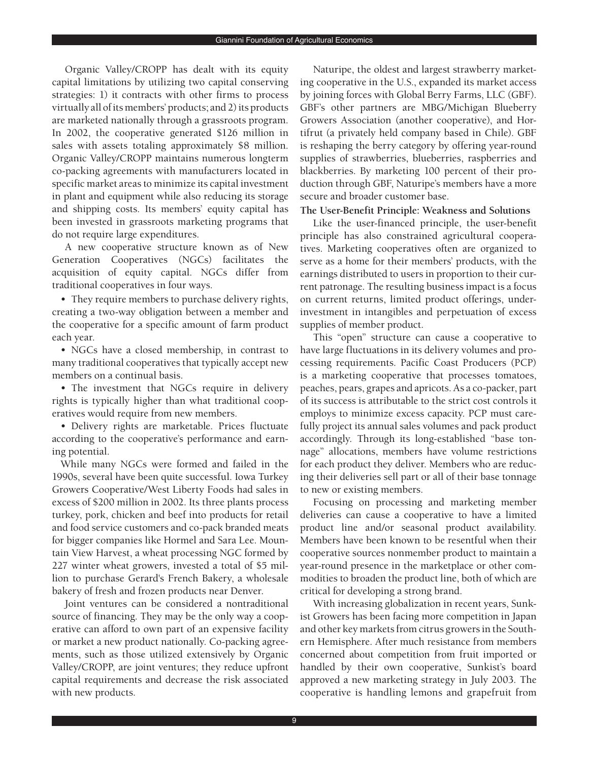Organic Valley/CROPP has dealt with its equity capital limitations by utilizing two capital conserving strategies: 1) it contracts with other firms to process virtually all of its members' products; and 2) its products are marketed nationally through a grassroots program. In 2002, the cooperative generated \$126 million in sales with assets totaling approximately \$8 million. Organic Valley/CROPP maintains numerous longterm co-packing agreements with manufacturers located in specific market areas to minimize its capital investment in plant and equipment while also reducing its storage and shipping costs. Its members' equity capital has been invested in grassroots marketing programs that do not require large expenditures.

 A new cooperative structure known as of New Generation Cooperatives (NGCs) facilitates the acquisition of equity capital. NGCs differ from traditional cooperatives in four ways.

 • They require members to purchase delivery rights, creating a two-way obligation between a member and the cooperative for a specific amount of farm product each year.

 • NGCs have a closed membership, in contrast to many traditional cooperatives that typically accept new members on a continual basis.

 • The investment that NGCs require in delivery rights is typically higher than what traditional coop-eratives would require from new members.

 • Delivery rights are marketable. Prices fluctuate according to the cooperative's performance and earn-ing potential.

 While many NGCs were formed and failed in the 1990s, several have been quite successful. Iowa Turkey Growers Cooperative/West Liberty Foods had sales in excess of \$200 million in 2002. Its three plants process turkey, pork, chicken and beef into products for retail and food service customers and co-pack branded meats for bigger companies like Hormel and Sara Lee. Moun- tain View Harvest, a wheat processing NGC formed by 227 winter wheat growers, invested a total of \$5 mil- lion to purchase Gerard's French Bakery, a wholesale bakery of fresh and frozen products near Denver.

 Joint ventures can be considered a nontraditional source of financing. They may be the only way a coop- erative can afford to own part of an expensive facility or market a new product nationally. Co-packing agree- ments, such as those utilized extensively by Organic Valley/CROPP, are joint ventures; they reduce upfront capital requirements and decrease the risk associated with new products.

 Naturipe, the oldest and largest strawberry market- ing cooperative in the U.S., expanded its market access by joining forces with Global Berry Farms, LLC (GBF). GBF's other partners are MBG/Michigan Blueberry Growers Association (another cooperative), and Hor- tifrut (a privately held company based in Chile). GBF is reshaping the berry category by offering year-round supplies of strawberries, blueberries, raspberries and blackberries. By marketing 100 percent of their pro- duction through GBF, Naturipe's members have a more secure and broader customer base.

#### **The User-Benefit Principle: Weakness and Solutions**

 Like the user-financed principle, the user-benefit principle has also constrained agricultural coopera- tives. Marketing cooperatives often are organized to serve as a home for their members' products, with the earnings distributed to users in proportion to their cur- rent patronage. The resulting business impact is a focus on current returns, limited product offerings, under- investment in intangibles and perpetuation of excess supplies of member product.

 This "open" structure can cause a cooperative to have large fluctuations in its delivery volumes and pro- cessing requirements. Pacific Coast Producers (PCP) is a marketing cooperative that processes tomatoes, peaches, pears, grapes and apricots. As a co-packer, part of its success is attributable to the strict cost controls it employs to minimize excess capacity. PCP must care- fully project its annual sales volumes and pack product accordingly. Through its long-established "base ton- nage" allocations, members have volume restrictions for each product they deliver. Members who are reduc- ing their deliveries sell part or all of their base tonnage to new or existing members.

 Focusing on processing and marketing member deliveries can cause a cooperative to have a limited product line and/or seasonal product availability. Members have been known to be resentful when their cooperative sources nonmember product to maintain a year-round presence in the marketplace or other com- modities to broaden the product line, both of which are critical for developing a strong brand.

 With increasing globalization in recent years, Sunk- ist Growers has been facing more competition in Japan and other key markets from citrus growers in the South- ern Hemisphere. After much resistance from members concerned about competition from fruit imported or handled by their own cooperative, Sunkist's board approved a new marketing strategy in July 2003. The cooperative is handling lemons and grapefruit from